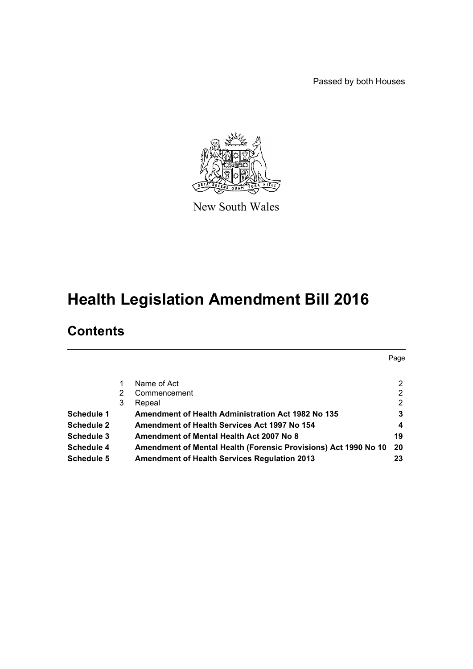Passed by both Houses

Page



New South Wales

# **Health Legislation Amendment Bill 2016**

# **Contents**

|                   |   | Name of Act                                                     | $\mathbf{2}^{\circ}$ |
|-------------------|---|-----------------------------------------------------------------|----------------------|
|                   | 2 | Commencement                                                    | $\mathbf{2}^{\circ}$ |
|                   | 3 | Repeal                                                          | $\mathbf{2}^{\circ}$ |
| Schedule 1        |   | <b>Amendment of Health Administration Act 1982 No 135</b>       | 3                    |
| <b>Schedule 2</b> |   | <b>Amendment of Health Services Act 1997 No 154</b>             | 4                    |
| <b>Schedule 3</b> |   | Amendment of Mental Health Act 2007 No 8                        | 19                   |
| Schedule 4        |   | Amendment of Mental Health (Forensic Provisions) Act 1990 No 10 | 20                   |
| Schedule 5        |   | <b>Amendment of Health Services Regulation 2013</b>             | 23                   |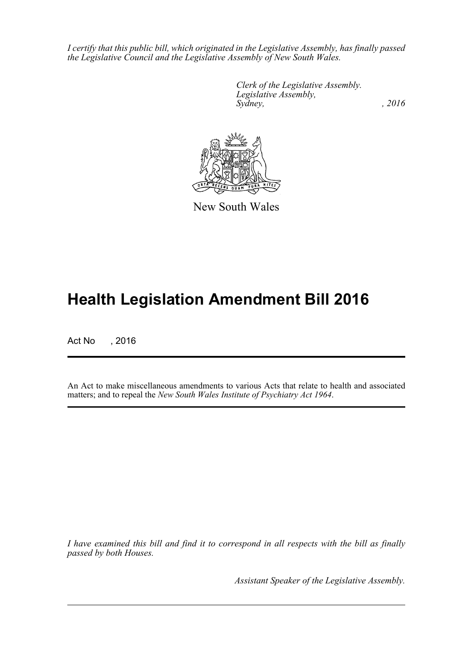*I certify that this public bill, which originated in the Legislative Assembly, has finally passed the Legislative Council and the Legislative Assembly of New South Wales.*

> *Clerk of the Legislative Assembly. Legislative Assembly, Sydney,* , 2016



New South Wales

# **Health Legislation Amendment Bill 2016**

Act No , 2016

An Act to make miscellaneous amendments to various Acts that relate to health and associated matters; and to repeal the *New South Wales Institute of Psychiatry Act 1964*.

*I have examined this bill and find it to correspond in all respects with the bill as finally passed by both Houses.*

*Assistant Speaker of the Legislative Assembly.*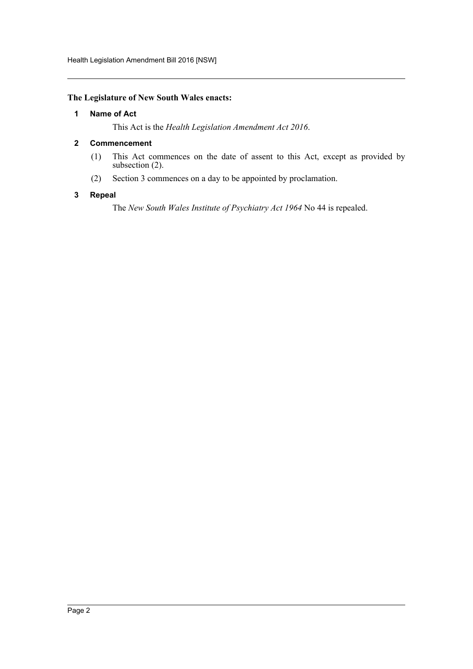Health Legislation Amendment Bill 2016 [NSW]

# <span id="page-2-0"></span>**The Legislature of New South Wales enacts:**

## **1 Name of Act**

This Act is the *Health Legislation Amendment Act 2016*.

## <span id="page-2-1"></span>**2 Commencement**

- (1) This Act commences on the date of assent to this Act, except as provided by subsection (2).
- (2) Section 3 commences on a day to be appointed by proclamation.

## <span id="page-2-2"></span>**3 Repeal**

The *New South Wales Institute of Psychiatry Act 1964* No 44 is repealed.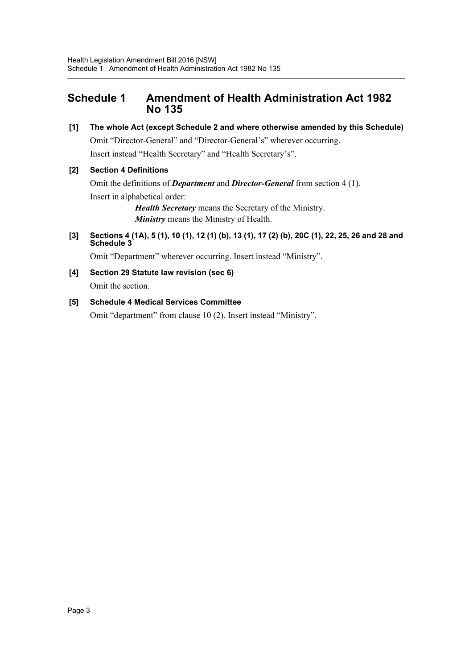# <span id="page-3-0"></span>**Schedule 1 Amendment of Health Administration Act 1982 No 135**

**[1] The whole Act (except Schedule 2 and where otherwise amended by this Schedule)**

Omit "Director-General" and "Director-General's" wherever occurring. Insert instead "Health Secretary" and "Health Secretary's".

# **[2] Section 4 Definitions**

Omit the definitions of *Department* and *Director-General* from section 4 (1). Insert in alphabetical order: *Health Secretary* means the Secretary of the Ministry.

*Ministry* means the Ministry of Health.

**[3] Sections 4 (1A), 5 (1), 10 (1), 12 (1) (b), 13 (1), 17 (2) (b), 20C (1), 22, 25, 26 and 28 and Schedule 3**

Omit "Department" wherever occurring. Insert instead "Ministry".

**[4] Section 29 Statute law revision (sec 6)**

Omit the section.

# **[5] Schedule 4 Medical Services Committee**

Omit "department" from clause 10 (2). Insert instead "Ministry".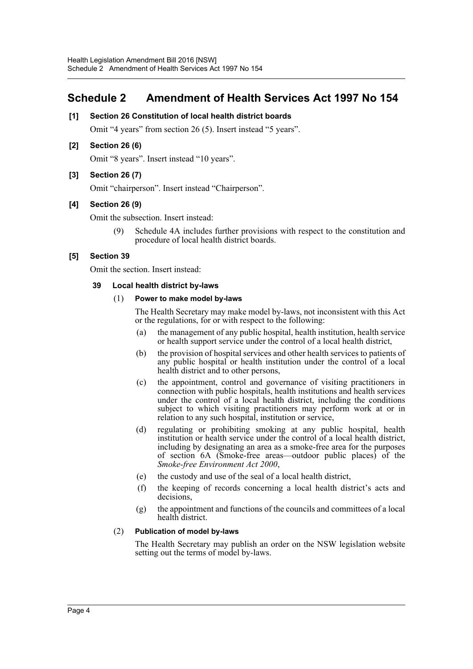# <span id="page-4-0"></span>**Schedule 2 Amendment of Health Services Act 1997 No 154**

# **[1] Section 26 Constitution of local health district boards**

Omit "4 years" from section 26 (5). Insert instead "5 years".

# **[2] Section 26 (6)**

Omit "8 years". Insert instead "10 years".

# **[3] Section 26 (7)**

Omit "chairperson". Insert instead "Chairperson".

# **[4] Section 26 (9)**

Omit the subsection. Insert instead:

(9) Schedule 4A includes further provisions with respect to the constitution and procedure of local health district boards.

# **[5] Section 39**

Omit the section. Insert instead:

## **39 Local health district by-laws**

#### (1) **Power to make model by-laws**

The Health Secretary may make model by-laws, not inconsistent with this Act or the regulations, for or with respect to the following:

- (a) the management of any public hospital, health institution, health service or health support service under the control of a local health district,
- (b) the provision of hospital services and other health services to patients of any public hospital or health institution under the control of a local health district and to other persons,
- (c) the appointment, control and governance of visiting practitioners in connection with public hospitals, health institutions and health services under the control of a local health district, including the conditions subject to which visiting practitioners may perform work at or in relation to any such hospital, institution or service,
- (d) regulating or prohibiting smoking at any public hospital, health institution or health service under the control of a local health district, including by designating an area as a smoke-free area for the purposes of section 6A (Smoke-free areas—outdoor public places) of the *Smoke-free Environment Act 2000*,
- (e) the custody and use of the seal of a local health district,
- (f) the keeping of records concerning a local health district's acts and decisions,
- (g) the appointment and functions of the councils and committees of a local health district.

## (2) **Publication of model by-laws**

The Health Secretary may publish an order on the NSW legislation website setting out the terms of model by-laws.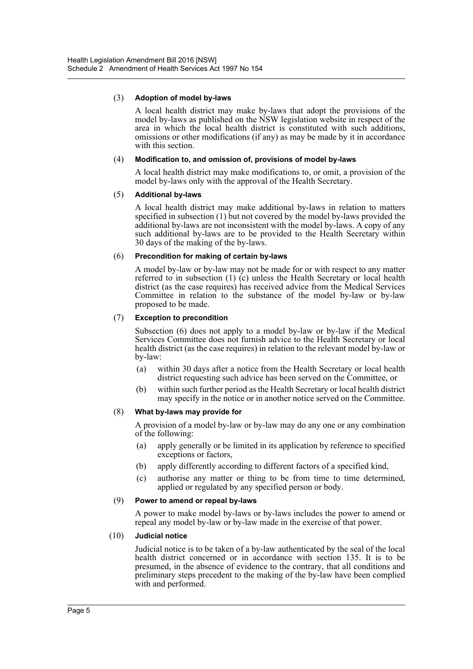## (3) **Adoption of model by-laws**

A local health district may make by-laws that adopt the provisions of the model by-laws as published on the NSW legislation website in respect of the area in which the local health district is constituted with such additions, omissions or other modifications (if any) as may be made by it in accordance with this section

#### (4) **Modification to, and omission of, provisions of model by-laws**

A local health district may make modifications to, or omit, a provision of the model by-laws only with the approval of the Health Secretary.

#### (5) **Additional by-laws**

A local health district may make additional by-laws in relation to matters specified in subsection (1) but not covered by the model by-laws provided the additional by-laws are not inconsistent with the model by-laws. A copy of any such additional by-laws are to be provided to the Health Secretary within 30 days of the making of the by-laws.

#### (6) **Precondition for making of certain by-laws**

A model by-law or by-law may not be made for or with respect to any matter referred to in subsection (1) (c) unless the Health Secretary or local health district (as the case requires) has received advice from the Medical Services Committee in relation to the substance of the model by-law or by-law proposed to be made.

#### (7) **Exception to precondition**

Subsection (6) does not apply to a model by-law or by-law if the Medical Services Committee does not furnish advice to the Health Secretary or local health district (as the case requires) in relation to the relevant model by-law or by-law:

- (a) within 30 days after a notice from the Health Secretary or local health district requesting such advice has been served on the Committee, or
- (b) within such further period as the Health Secretary or local health district may specify in the notice or in another notice served on the Committee.

#### (8) **What by-laws may provide for**

A provision of a model by-law or by-law may do any one or any combination of the following:

- (a) apply generally or be limited in its application by reference to specified exceptions or factors,
- (b) apply differently according to different factors of a specified kind,
- (c) authorise any matter or thing to be from time to time determined, applied or regulated by any specified person or body.

## (9) **Power to amend or repeal by-laws**

A power to make model by-laws or by-laws includes the power to amend or repeal any model by-law or by-law made in the exercise of that power.

#### (10) **Judicial notice**

Judicial notice is to be taken of a by-law authenticated by the seal of the local health district concerned or in accordance with section 135. It is to be presumed, in the absence of evidence to the contrary, that all conditions and preliminary steps precedent to the making of the by-law have been complied with and performed.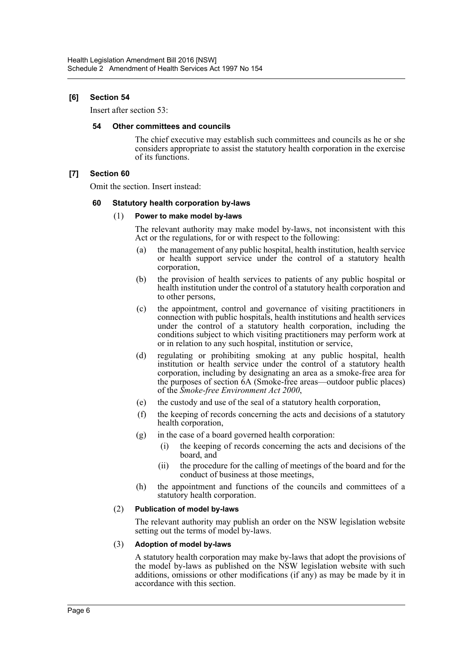# **[6] Section 54**

Insert after section 53:

#### **54 Other committees and councils**

The chief executive may establish such committees and councils as he or she considers appropriate to assist the statutory health corporation in the exercise of its functions.

# **[7] Section 60**

Omit the section. Insert instead:

## **60 Statutory health corporation by-laws**

#### (1) **Power to make model by-laws**

The relevant authority may make model by-laws, not inconsistent with this Act or the regulations, for or with respect to the following:

- (a) the management of any public hospital, health institution, health service or health support service under the control of a statutory health corporation,
- (b) the provision of health services to patients of any public hospital or health institution under the control of a statutory health corporation and to other persons,
- (c) the appointment, control and governance of visiting practitioners in connection with public hospitals, health institutions and health services under the control of a statutory health corporation, including the conditions subject to which visiting practitioners may perform work at or in relation to any such hospital, institution or service,
- (d) regulating or prohibiting smoking at any public hospital, health institution or health service under the control of a statutory health corporation, including by designating an area as a smoke-free area for the purposes of section 6A (Smoke-free areas—outdoor public places) of the *Smoke-free Environment Act 2000*,
- (e) the custody and use of the seal of a statutory health corporation,
- (f) the keeping of records concerning the acts and decisions of a statutory health corporation,
- (g) in the case of a board governed health corporation:
	- (i) the keeping of records concerning the acts and decisions of the board, and
	- (ii) the procedure for the calling of meetings of the board and for the conduct of business at those meetings,
- (h) the appointment and functions of the councils and committees of a statutory health corporation.

## (2) **Publication of model by-laws**

The relevant authority may publish an order on the NSW legislation website setting out the terms of model by-laws.

## (3) **Adoption of model by-laws**

A statutory health corporation may make by-laws that adopt the provisions of the model by-laws as published on the NSW legislation website with such additions, omissions or other modifications (if any) as may be made by it in accordance with this section.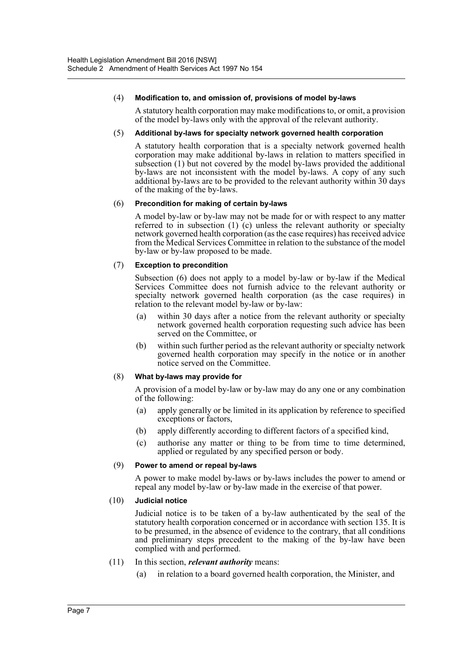#### (4) **Modification to, and omission of, provisions of model by-laws**

A statutory health corporation may make modifications to, or omit, a provision of the model by-laws only with the approval of the relevant authority.

#### (5) **Additional by-laws for specialty network governed health corporation**

A statutory health corporation that is a specialty network governed health corporation may make additional by-laws in relation to matters specified in subsection (1) but not covered by the model by-laws provided the additional by-laws are not inconsistent with the model by-laws. A copy of any such additional by-laws are to be provided to the relevant authority within 30 days of the making of the by-laws.

#### (6) **Precondition for making of certain by-laws**

A model by-law or by-law may not be made for or with respect to any matter referred to in subsection (1) (c) unless the relevant authority or specialty network governed health corporation (as the case requires) has received advice from the Medical Services Committee in relation to the substance of the model by-law or by-law proposed to be made.

#### (7) **Exception to precondition**

Subsection (6) does not apply to a model by-law or by-law if the Medical Services Committee does not furnish advice to the relevant authority or specialty network governed health corporation (as the case requires) in relation to the relevant model by-law or by-law:

- (a) within 30 days after a notice from the relevant authority or specialty network governed health corporation requesting such advice has been served on the Committee, or
- (b) within such further period as the relevant authority or specialty network governed health corporation may specify in the notice or in another notice served on the Committee.

## (8) **What by-laws may provide for**

A provision of a model by-law or by-law may do any one or any combination of the following:

- (a) apply generally or be limited in its application by reference to specified exceptions or factors,
- (b) apply differently according to different factors of a specified kind,
- (c) authorise any matter or thing to be from time to time determined, applied or regulated by any specified person or body.

## (9) **Power to amend or repeal by-laws**

A power to make model by-laws or by-laws includes the power to amend or repeal any model by-law or by-law made in the exercise of that power.

## (10) **Judicial notice**

Judicial notice is to be taken of a by-law authenticated by the seal of the statutory health corporation concerned or in accordance with section 135. It is to be presumed, in the absence of evidence to the contrary, that all conditions and preliminary steps precedent to the making of the by-law have been complied with and performed.

## (11) In this section, *relevant authority* means:

(a) in relation to a board governed health corporation, the Minister, and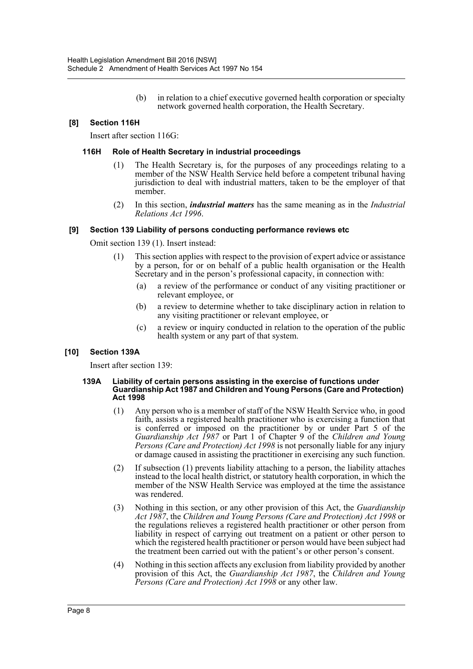(b) in relation to a chief executive governed health corporation or specialty network governed health corporation, the Health Secretary.

# **[8] Section 116H**

Insert after section 116G:

#### **116H Role of Health Secretary in industrial proceedings**

- (1) The Health Secretary is, for the purposes of any proceedings relating to a member of the NSW Health Service held before a competent tribunal having jurisdiction to deal with industrial matters, taken to be the employer of that member.
- (2) In this section, *industrial matters* has the same meaning as in the *Industrial Relations Act 1996*.

#### **[9] Section 139 Liability of persons conducting performance reviews etc**

Omit section 139 (1). Insert instead:

- (1) This section applies with respect to the provision of expert advice or assistance by a person, for or on behalf of a public health organisation or the Health Secretary and in the person's professional capacity, in connection with:
	- (a) a review of the performance or conduct of any visiting practitioner or relevant employee, or
	- (b) a review to determine whether to take disciplinary action in relation to any visiting practitioner or relevant employee, or
	- (c) a review or inquiry conducted in relation to the operation of the public health system or any part of that system.

## **[10] Section 139A**

Insert after section 139:

#### **139A Liability of certain persons assisting in the exercise of functions under Guardianship Act 1987 and Children and Young Persons (Care and Protection) Act 1998**

- (1) Any person who is a member of staff of the NSW Health Service who, in good faith, assists a registered health practitioner who is exercising a function that is conferred or imposed on the practitioner by or under Part 5 of the *Guardianship Act 1987* or Part 1 of Chapter 9 of the *Children and Young Persons (Care and Protection) Act 1998* is not personally liable for any injury or damage caused in assisting the practitioner in exercising any such function.
- (2) If subsection (1) prevents liability attaching to a person, the liability attaches instead to the local health district, or statutory health corporation, in which the member of the NSW Health Service was employed at the time the assistance was rendered.
- (3) Nothing in this section, or any other provision of this Act, the *Guardianship Act 1987*, the *Children and Young Persons (Care and Protection) Act 1998* or the regulations relieves a registered health practitioner or other person from liability in respect of carrying out treatment on a patient or other person to which the registered health practitioner or person would have been subject had the treatment been carried out with the patient's or other person's consent.
- (4) Nothing in this section affects any exclusion from liability provided by another provision of this Act, the *Guardianship Act 1987*, the *Children and Young Persons (Care and Protection) Act 1998* or any other law.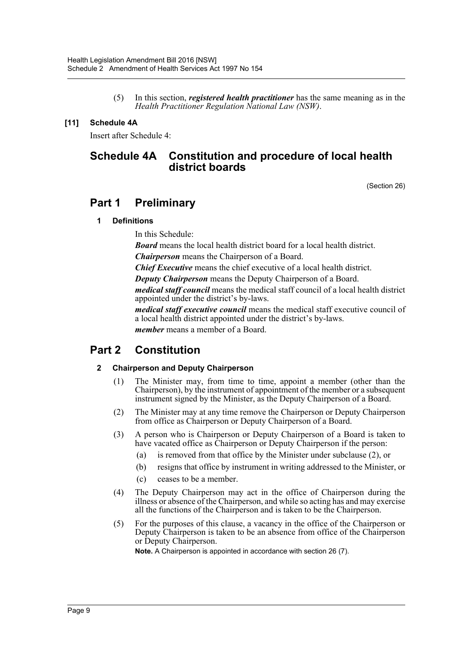(5) In this section, *registered health practitioner* has the same meaning as in the *Health Practitioner Regulation National Law (NSW)*.

# **[11] Schedule 4A**

Insert after Schedule 4:

# **Schedule 4A Constitution and procedure of local health district boards**

(Section 26)

# **Part 1 Preliminary**

# **1 Definitions**

In this Schedule:

*Board* means the local health district board for a local health district.

*Chairperson* means the Chairperson of a Board.

*Chief Executive* means the chief executive of a local health district.

*Deputy Chairperson* means the Deputy Chairperson of a Board.

*medical staff council* means the medical staff council of a local health district appointed under the district's by-laws.

*medical staff executive council* means the medical staff executive council of a local health district appointed under the district's by-laws.

*member* means a member of a Board.

# **Part 2 Constitution**

# **2 Chairperson and Deputy Chairperson**

- (1) The Minister may, from time to time, appoint a member (other than the Chairperson), by the instrument of appointment of the member or a subsequent instrument signed by the Minister, as the Deputy Chairperson of a Board.
- (2) The Minister may at any time remove the Chairperson or Deputy Chairperson from office as Chairperson or Deputy Chairperson of a Board.
- (3) A person who is Chairperson or Deputy Chairperson of a Board is taken to have vacated office as Chairperson or Deputy Chairperson if the person:
	- (a) is removed from that office by the Minister under subclause (2), or
	- (b) resigns that office by instrument in writing addressed to the Minister, or
	- (c) ceases to be a member.
- (4) The Deputy Chairperson may act in the office of Chairperson during the illness or absence of the Chairperson, and while so acting has and may exercise all the functions of the Chairperson and is taken to be the Chairperson.
- (5) For the purposes of this clause, a vacancy in the office of the Chairperson or Deputy Chairperson is taken to be an absence from office of the Chairperson or Deputy Chairperson.

**Note.** A Chairperson is appointed in accordance with section 26 (7).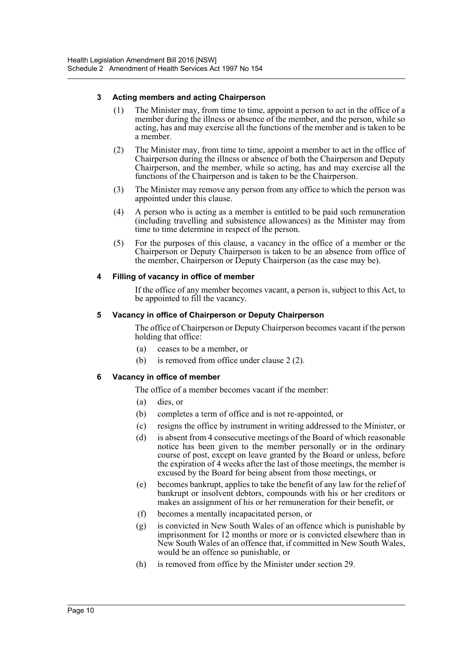# **3 Acting members and acting Chairperson**

- (1) The Minister may, from time to time, appoint a person to act in the office of a member during the illness or absence of the member, and the person, while so acting, has and may exercise all the functions of the member and is taken to be a member.
- (2) The Minister may, from time to time, appoint a member to act in the office of Chairperson during the illness or absence of both the Chairperson and Deputy Chairperson, and the member, while so acting, has and may exercise all the functions of the Chairperson and is taken to be the Chairperson.
- (3) The Minister may remove any person from any office to which the person was appointed under this clause.
- (4) A person who is acting as a member is entitled to be paid such remuneration (including travelling and subsistence allowances) as the Minister may from time to time determine in respect of the person.
- (5) For the purposes of this clause, a vacancy in the office of a member or the Chairperson or Deputy Chairperson is taken to be an absence from office of the member, Chairperson or Deputy Chairperson (as the case may be).

# **4 Filling of vacancy in office of member**

If the office of any member becomes vacant, a person is, subject to this Act, to be appointed to fill the vacancy.

# **5 Vacancy in office of Chairperson or Deputy Chairperson**

The office of Chairperson or Deputy Chairperson becomes vacant if the person holding that office:

- (a) ceases to be a member, or
- (b) is removed from office under clause 2 (2).

# **6 Vacancy in office of member**

The office of a member becomes vacant if the member:

- (a) dies or
- (b) completes a term of office and is not re-appointed, or
- (c) resigns the office by instrument in writing addressed to the Minister, or
- (d) is absent from 4 consecutive meetings of the Board of which reasonable notice has been given to the member personally or in the ordinary course of post, except on leave granted by the Board or unless, before the expiration of 4 weeks after the last of those meetings, the member is excused by the Board for being absent from those meetings, or
- (e) becomes bankrupt, applies to take the benefit of any law for the relief of bankrupt or insolvent debtors, compounds with his or her creditors or makes an assignment of his or her remuneration for their benefit, or
- (f) becomes a mentally incapacitated person, or
- (g) is convicted in New South Wales of an offence which is punishable by imprisonment for 12 months or more or is convicted elsewhere than in New South Wales of an offence that, if committed in New South Wales, would be an offence so punishable, or
- (h) is removed from office by the Minister under section 29.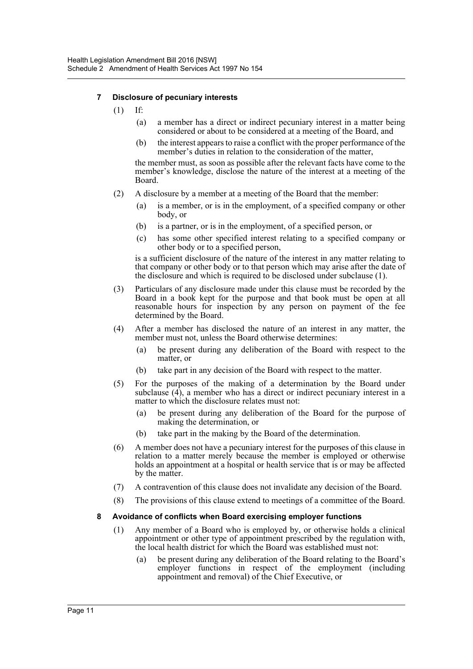# **7 Disclosure of pecuniary interests**

- (1) If:
	- (a) a member has a direct or indirect pecuniary interest in a matter being considered or about to be considered at a meeting of the Board, and
	- (b) the interest appears to raise a conflict with the proper performance of the member's duties in relation to the consideration of the matter,

the member must, as soon as possible after the relevant facts have come to the member's knowledge, disclose the nature of the interest at a meeting of the Board.

- (2) A disclosure by a member at a meeting of the Board that the member:
	- (a) is a member, or is in the employment, of a specified company or other body, or
	- (b) is a partner, or is in the employment, of a specified person, or
	- (c) has some other specified interest relating to a specified company or other body or to a specified person,

is a sufficient disclosure of the nature of the interest in any matter relating to that company or other body or to that person which may arise after the date of the disclosure and which is required to be disclosed under subclause (1).

- (3) Particulars of any disclosure made under this clause must be recorded by the Board in a book kept for the purpose and that book must be open at all reasonable hours for inspection by any person on payment of the fee determined by the Board.
- (4) After a member has disclosed the nature of an interest in any matter, the member must not, unless the Board otherwise determines:
	- (a) be present during any deliberation of the Board with respect to the matter, or
	- (b) take part in any decision of the Board with respect to the matter.
- (5) For the purposes of the making of a determination by the Board under subclause  $(4)$ , a member who has a direct or indirect pecuniary interest in a matter to which the disclosure relates must not:
	- (a) be present during any deliberation of the Board for the purpose of making the determination, or
	- (b) take part in the making by the Board of the determination.
- (6) A member does not have a pecuniary interest for the purposes of this clause in relation to a matter merely because the member is employed or otherwise holds an appointment at a hospital or health service that is or may be affected by the matter.
- (7) A contravention of this clause does not invalidate any decision of the Board.
- (8) The provisions of this clause extend to meetings of a committee of the Board.

## **8 Avoidance of conflicts when Board exercising employer functions**

- (1) Any member of a Board who is employed by, or otherwise holds a clinical appointment or other type of appointment prescribed by the regulation with, the local health district for which the Board was established must not:
	- (a) be present during any deliberation of the Board relating to the Board's employer functions in respect of the employment (including appointment and removal) of the Chief Executive, or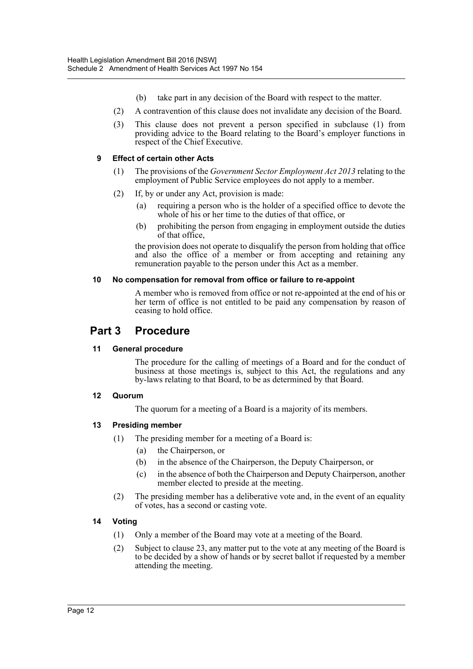- (b) take part in any decision of the Board with respect to the matter.
- (2) A contravention of this clause does not invalidate any decision of the Board.
- (3) This clause does not prevent a person specified in subclause (1) from providing advice to the Board relating to the Board's employer functions in respect of the Chief Executive.

# **9 Effect of certain other Acts**

- (1) The provisions of the *Government Sector Employment Act 2013* relating to the employment of Public Service employees do not apply to a member.
- (2) If, by or under any Act, provision is made:
	- (a) requiring a person who is the holder of a specified office to devote the whole of his or her time to the duties of that office, or
	- (b) prohibiting the person from engaging in employment outside the duties of that office,

the provision does not operate to disqualify the person from holding that office and also the office of a member or from accepting and retaining any remuneration payable to the person under this Act as a member.

#### **10 No compensation for removal from office or failure to re-appoint**

A member who is removed from office or not re-appointed at the end of his or her term of office is not entitled to be paid any compensation by reason of ceasing to hold office.

# **Part 3 Procedure**

## **11 General procedure**

The procedure for the calling of meetings of a Board and for the conduct of business at those meetings is, subject to this Act, the regulations and any by-laws relating to that Board, to be as determined by that Board.

# **12 Quorum**

The quorum for a meeting of a Board is a majority of its members.

# **13 Presiding member**

- (1) The presiding member for a meeting of a Board is:
	- (a) the Chairperson, or
	- (b) in the absence of the Chairperson, the Deputy Chairperson, or
	- (c) in the absence of both the Chairperson and Deputy Chairperson, another member elected to preside at the meeting.
- (2) The presiding member has a deliberative vote and, in the event of an equality of votes, has a second or casting vote.

# **14 Voting**

- (1) Only a member of the Board may vote at a meeting of the Board.
- (2) Subject to clause 23, any matter put to the vote at any meeting of the Board is to be decided by a show of hands or by secret ballot if requested by a member attending the meeting.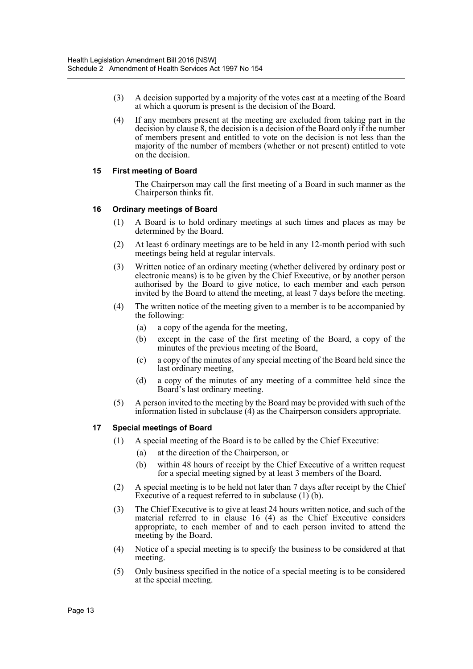- (3) A decision supported by a majority of the votes cast at a meeting of the Board at which a quorum is present is the decision of the Board.
- (4) If any members present at the meeting are excluded from taking part in the decision by clause 8, the decision is a decision of the Board only if the number of members present and entitled to vote on the decision is not less than the majority of the number of members (whether or not present) entitled to vote on the decision.

# **15 First meeting of Board**

The Chairperson may call the first meeting of a Board in such manner as the Chairperson thinks fit.

## **16 Ordinary meetings of Board**

- (1) A Board is to hold ordinary meetings at such times and places as may be determined by the Board.
- (2) At least 6 ordinary meetings are to be held in any 12-month period with such meetings being held at regular intervals.
- (3) Written notice of an ordinary meeting (whether delivered by ordinary post or electronic means) is to be given by the Chief Executive, or by another person authorised by the Board to give notice, to each member and each person invited by the Board to attend the meeting, at least 7 days before the meeting.
- (4) The written notice of the meeting given to a member is to be accompanied by the following:
	- (a) a copy of the agenda for the meeting,
	- (b) except in the case of the first meeting of the Board, a copy of the minutes of the previous meeting of the Board,
	- (c) a copy of the minutes of any special meeting of the Board held since the last ordinary meeting,
	- (d) a copy of the minutes of any meeting of a committee held since the Board's last ordinary meeting.
- (5) A person invited to the meeting by the Board may be provided with such of the information listed in subclause  $(4)$  as the Chairperson considers appropriate.

## **17 Special meetings of Board**

- (1) A special meeting of the Board is to be called by the Chief Executive:
	- (a) at the direction of the Chairperson, or
	- (b) within 48 hours of receipt by the Chief Executive of a written request for a special meeting signed by at least 3 members of the Board.
- (2) A special meeting is to be held not later than 7 days after receipt by the Chief Executive of a request referred to in subclause (1) (b).
- (3) The Chief Executive is to give at least 24 hours written notice, and such of the material referred to in clause 16 (4) as the Chief Executive considers appropriate, to each member of and to each person invited to attend the meeting by the Board.
- (4) Notice of a special meeting is to specify the business to be considered at that meeting.
- (5) Only business specified in the notice of a special meeting is to be considered at the special meeting.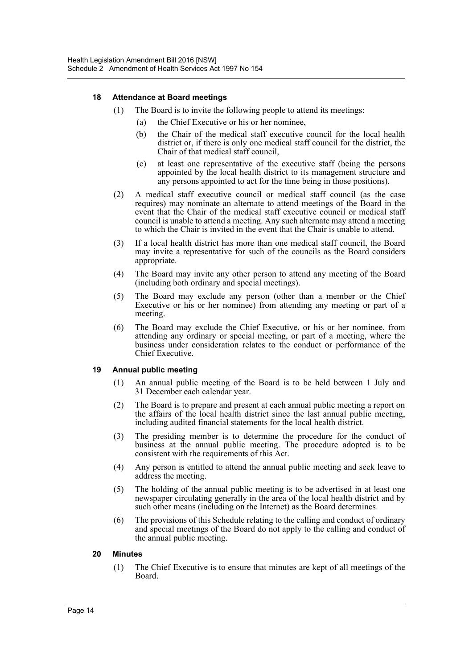# **18 Attendance at Board meetings**

- (1) The Board is to invite the following people to attend its meetings:
	- (a) the Chief Executive or his or her nominee,
	- (b) the Chair of the medical staff executive council for the local health district or, if there is only one medical staff council for the district, the Chair of that medical staff council,
	- (c) at least one representative of the executive staff (being the persons appointed by the local health district to its management structure and any persons appointed to act for the time being in those positions).
- (2) A medical staff executive council or medical staff council (as the case requires) may nominate an alternate to attend meetings of the Board in the event that the Chair of the medical staff executive council or medical staff council is unable to attend a meeting. Any such alternate may attend a meeting to which the Chair is invited in the event that the Chair is unable to attend.
- (3) If a local health district has more than one medical staff council, the Board may invite a representative for such of the councils as the Board considers appropriate.
- (4) The Board may invite any other person to attend any meeting of the Board (including both ordinary and special meetings).
- (5) The Board may exclude any person (other than a member or the Chief Executive or his or her nominee) from attending any meeting or part of a meeting.
- (6) The Board may exclude the Chief Executive, or his or her nominee, from attending any ordinary or special meeting, or part of a meeting, where the business under consideration relates to the conduct or performance of the Chief Executive.

## **19 Annual public meeting**

- (1) An annual public meeting of the Board is to be held between 1 July and 31 December each calendar year.
- (2) The Board is to prepare and present at each annual public meeting a report on the affairs of the local health district since the last annual public meeting, including audited financial statements for the local health district.
- (3) The presiding member is to determine the procedure for the conduct of business at the annual public meeting. The procedure adopted is to be consistent with the requirements of this Act.
- (4) Any person is entitled to attend the annual public meeting and seek leave to address the meeting.
- (5) The holding of the annual public meeting is to be advertised in at least one newspaper circulating generally in the area of the local health district and by such other means (including on the Internet) as the Board determines.
- (6) The provisions of this Schedule relating to the calling and conduct of ordinary and special meetings of the Board do not apply to the calling and conduct of the annual public meeting.

## **20 Minutes**

(1) The Chief Executive is to ensure that minutes are kept of all meetings of the Board.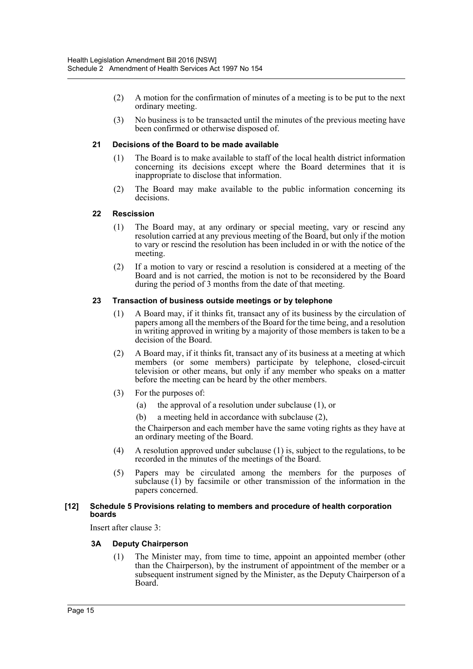- (2) A motion for the confirmation of minutes of a meeting is to be put to the next ordinary meeting.
- (3) No business is to be transacted until the minutes of the previous meeting have been confirmed or otherwise disposed of.

## **21 Decisions of the Board to be made available**

- (1) The Board is to make available to staff of the local health district information concerning its decisions except where the Board determines that it is inappropriate to disclose that information.
- (2) The Board may make available to the public information concerning its decisions.

#### **22 Rescission**

- (1) The Board may, at any ordinary or special meeting, vary or rescind any resolution carried at any previous meeting of the Board, but only if the motion to vary or rescind the resolution has been included in or with the notice of the meeting.
- (2) If a motion to vary or rescind a resolution is considered at a meeting of the Board and is not carried, the motion is not to be reconsidered by the Board during the period of 3 months from the date of that meeting.

#### **23 Transaction of business outside meetings or by telephone**

- (1) A Board may, if it thinks fit, transact any of its business by the circulation of papers among all the members of the Board for the time being, and a resolution in writing approved in writing by a majority of those members is taken to be a decision of the Board.
- (2) A Board may, if it thinks fit, transact any of its business at a meeting at which members (or some members) participate by telephone, closed-circuit television or other means, but only if any member who speaks on a matter before the meeting can be heard by the other members.
- (3) For the purposes of:
	- (a) the approval of a resolution under subclause (1), or
	- (b) a meeting held in accordance with subclause (2),

the Chairperson and each member have the same voting rights as they have at an ordinary meeting of the Board.

- (4) A resolution approved under subclause (1) is, subject to the regulations, to be recorded in the minutes of the meetings of the Board.
- (5) Papers may be circulated among the members for the purposes of subclause  $(i)$  by facsimile or other transmission of the information in the papers concerned.

#### **[12] Schedule 5 Provisions relating to members and procedure of health corporation boards**

Insert after clause 3:

## **3A Deputy Chairperson**

(1) The Minister may, from time to time, appoint an appointed member (other than the Chairperson), by the instrument of appointment of the member or a subsequent instrument signed by the Minister, as the Deputy Chairperson of a Board.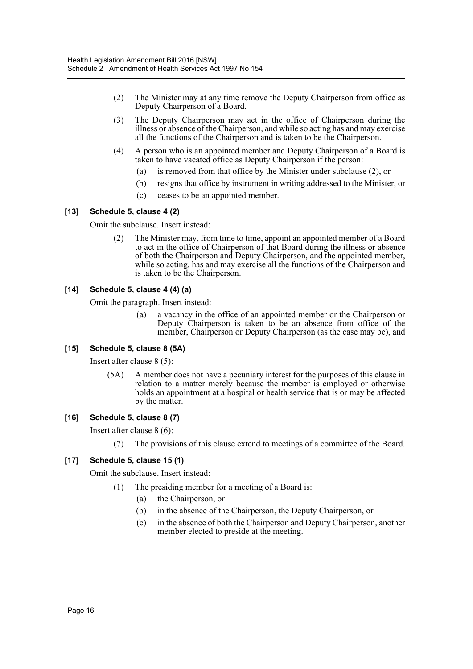- (2) The Minister may at any time remove the Deputy Chairperson from office as Deputy Chairperson of a Board.
- (3) The Deputy Chairperson may act in the office of Chairperson during the illness or absence of the Chairperson, and while so acting has and may exercise all the functions of the Chairperson and is taken to be the Chairperson.
- (4) A person who is an appointed member and Deputy Chairperson of a Board is taken to have vacated office as Deputy Chairperson if the person:
	- (a) is removed from that office by the Minister under subclause (2), or
	- (b) resigns that office by instrument in writing addressed to the Minister, or
	- (c) ceases to be an appointed member.

## **[13] Schedule 5, clause 4 (2)**

Omit the subclause. Insert instead:

(2) The Minister may, from time to time, appoint an appointed member of a Board to act in the office of Chairperson of that Board during the illness or absence of both the Chairperson and Deputy Chairperson, and the appointed member, while so acting, has and may exercise all the functions of the Chairperson and is taken to be the Chairperson.

# **[14] Schedule 5, clause 4 (4) (a)**

Omit the paragraph. Insert instead:

(a) a vacancy in the office of an appointed member or the Chairperson or Deputy Chairperson is taken to be an absence from office of the member, Chairperson or Deputy Chairperson (as the case may be), and

## **[15] Schedule 5, clause 8 (5A)**

Insert after clause 8 (5):

(5A) A member does not have a pecuniary interest for the purposes of this clause in relation to a matter merely because the member is employed or otherwise holds an appointment at a hospital or health service that is or may be affected by the matter.

## **[16] Schedule 5, clause 8 (7)**

Insert after clause 8 (6):

(7) The provisions of this clause extend to meetings of a committee of the Board.

## **[17] Schedule 5, clause 15 (1)**

Omit the subclause. Insert instead:

- (1) The presiding member for a meeting of a Board is:
	- (a) the Chairperson, or
	- (b) in the absence of the Chairperson, the Deputy Chairperson, or
	- (c) in the absence of both the Chairperson and Deputy Chairperson, another member elected to preside at the meeting.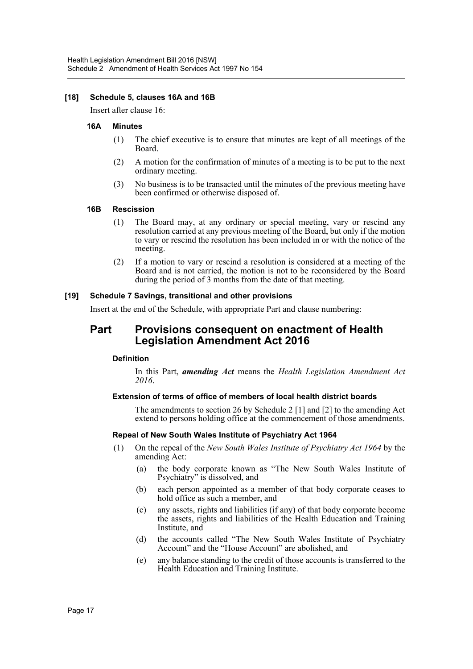# **[18] Schedule 5, clauses 16A and 16B**

Insert after clause 16:

#### **16A Minutes**

- (1) The chief executive is to ensure that minutes are kept of all meetings of the Board.
- (2) A motion for the confirmation of minutes of a meeting is to be put to the next ordinary meeting.
- (3) No business is to be transacted until the minutes of the previous meeting have been confirmed or otherwise disposed of.

#### **16B Rescission**

- (1) The Board may, at any ordinary or special meeting, vary or rescind any resolution carried at any previous meeting of the Board, but only if the motion to vary or rescind the resolution has been included in or with the notice of the meeting.
- (2) If a motion to vary or rescind a resolution is considered at a meeting of the Board and is not carried, the motion is not to be reconsidered by the Board during the period of 3 months from the date of that meeting.

## **[19] Schedule 7 Savings, transitional and other provisions**

Insert at the end of the Schedule, with appropriate Part and clause numbering:

# **Part Provisions consequent on enactment of Health Legislation Amendment Act 2016**

## **Definition**

In this Part, *amending Act* means the *Health Legislation Amendment Act 2016*.

## **Extension of terms of office of members of local health district boards**

The amendments to section 26 by Schedule 2 [1] and [2] to the amending Act extend to persons holding office at the commencement of those amendments.

## **Repeal of New South Wales Institute of Psychiatry Act 1964**

- (1) On the repeal of the *New South Wales Institute of Psychiatry Act 1964* by the amending Act:
	- (a) the body corporate known as "The New South Wales Institute of Psychiatry" is dissolved, and
	- (b) each person appointed as a member of that body corporate ceases to hold office as such a member, and
	- (c) any assets, rights and liabilities (if any) of that body corporate become the assets, rights and liabilities of the Health Education and Training Institute, and
	- (d) the accounts called "The New South Wales Institute of Psychiatry Account" and the "House Account" are abolished, and
	- (e) any balance standing to the credit of those accounts is transferred to the Health Education and Training Institute.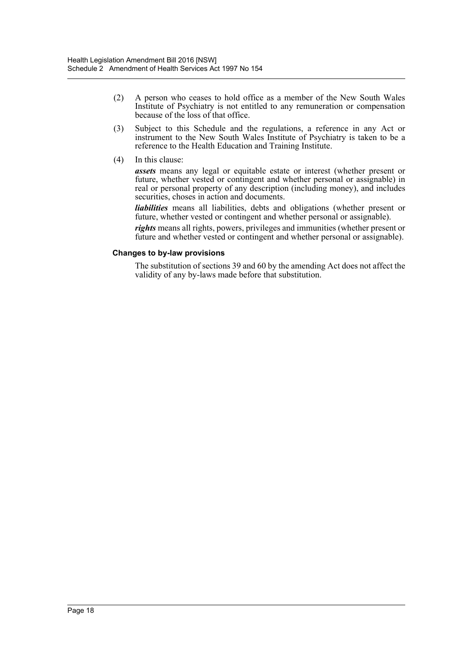- (2) A person who ceases to hold office as a member of the New South Wales Institute of Psychiatry is not entitled to any remuneration or compensation because of the loss of that office.
- (3) Subject to this Schedule and the regulations, a reference in any Act or instrument to the New South Wales Institute of Psychiatry is taken to be a reference to the Health Education and Training Institute.
- (4) In this clause:

*assets* means any legal or equitable estate or interest (whether present or future, whether vested or contingent and whether personal or assignable) in real or personal property of any description (including money), and includes securities, choses in action and documents.

*liabilities* means all liabilities, debts and obligations (whether present or future, whether vested or contingent and whether personal or assignable).

*rights* means all rights, powers, privileges and immunities (whether present or future and whether vested or contingent and whether personal or assignable).

## **Changes to by-law provisions**

The substitution of sections 39 and 60 by the amending Act does not affect the validity of any by-laws made before that substitution.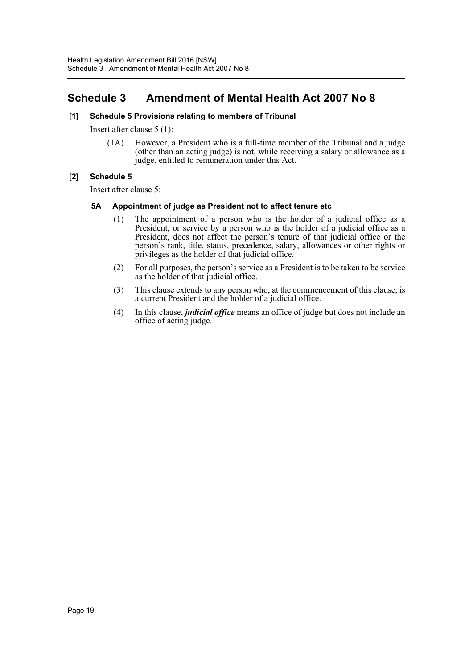# <span id="page-19-0"></span>**Schedule 3 Amendment of Mental Health Act 2007 No 8**

# **[1] Schedule 5 Provisions relating to members of Tribunal**

Insert after clause 5 (1):

(1A) However, a President who is a full-time member of the Tribunal and a judge (other than an acting judge) is not, while receiving a salary or allowance as a judge, entitled to remuneration under this Act.

# **[2] Schedule 5**

Insert after clause 5:

# **5A Appointment of judge as President not to affect tenure etc**

- (1) The appointment of a person who is the holder of a judicial office as a President, or service by a person who is the holder of a judicial office as a President, does not affect the person's tenure of that judicial office or the person's rank, title, status, precedence, salary, allowances or other rights or privileges as the holder of that judicial office.
- (2) For all purposes, the person's service as a President is to be taken to be service as the holder of that judicial office.
- (3) This clause extends to any person who, at the commencement of this clause, is a current President and the holder of a judicial office.
- (4) In this clause, *judicial office* means an office of judge but does not include an office of acting judge.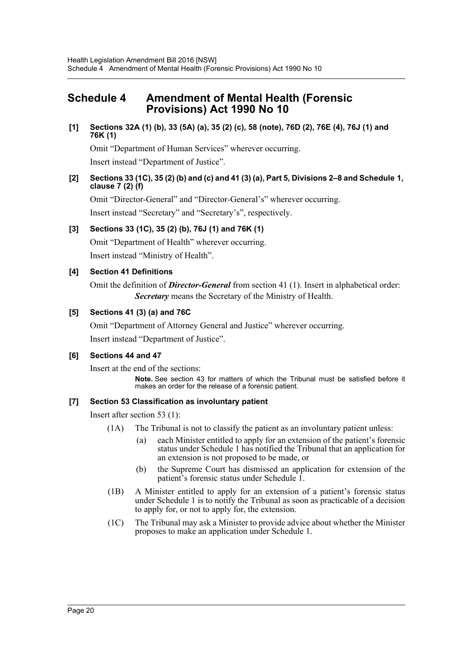# <span id="page-20-0"></span>**Schedule 4 Amendment of Mental Health (Forensic Provisions) Act 1990 No 10**

# **[1] Sections 32A (1) (b), 33 (5A) (a), 35 (2) (c), 58 (note), 76D (2), 76E (4), 76J (1) and 76K (1)**

Omit "Department of Human Services" wherever occurring.

Insert instead "Department of Justice".

# **[2] Sections 33 (1C), 35 (2) (b) and (c) and 41 (3) (a), Part 5, Divisions 2–8 and Schedule 1, clause 7 (2) (f)**

Omit "Director-General" and "Director-General's" wherever occurring.

Insert instead "Secretary" and "Secretary's", respectively.

# **[3] Sections 33 (1C), 35 (2) (b), 76J (1) and 76K (1)**

Omit "Department of Health" wherever occurring.

Insert instead "Ministry of Health".

# **[4] Section 41 Definitions**

Omit the definition of *Director-General* from section 41 (1). Insert in alphabetical order: *Secretary* means the Secretary of the Ministry of Health.

# **[5] Sections 41 (3) (a) and 76C**

Omit "Department of Attorney General and Justice" wherever occurring.

Insert instead "Department of Justice".

## **[6] Sections 44 and 47**

Insert at the end of the sections:

**Note.** See section 43 for matters of which the Tribunal must be satisfied before it makes an order for the release of a forensic patient.

# **[7] Section 53 Classification as involuntary patient**

Insert after section 53 (1):

- (1A) The Tribunal is not to classify the patient as an involuntary patient unless:
	- (a) each Minister entitled to apply for an extension of the patient's forensic status under Schedule 1 has notified the Tribunal that an application for an extension is not proposed to be made, or
	- (b) the Supreme Court has dismissed an application for extension of the patient's forensic status under Schedule 1.
- (1B) A Minister entitled to apply for an extension of a patient's forensic status under Schedule 1 is to notify the Tribunal as soon as practicable of a decision to apply for, or not to apply for, the extension.
- (1C) The Tribunal may ask a Minister to provide advice about whether the Minister proposes to make an application under Schedule 1.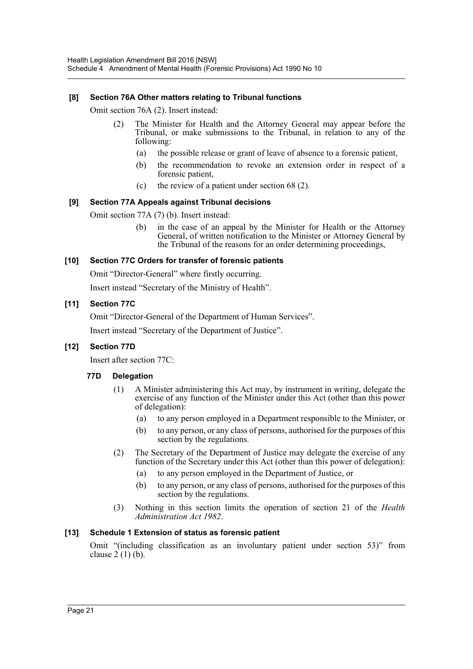# **[8] Section 76A Other matters relating to Tribunal functions**

Omit section 76A (2). Insert instead:

- (2) The Minister for Health and the Attorney General may appear before the Tribunal, or make submissions to the Tribunal, in relation to any of the following:
	- (a) the possible release or grant of leave of absence to a forensic patient,
	- (b) the recommendation to revoke an extension order in respect of a forensic patient,
	- (c) the review of a patient under section 68 (2).

# **[9] Section 77A Appeals against Tribunal decisions**

Omit section 77A (7) (b). Insert instead:

(b) in the case of an appeal by the Minister for Health or the Attorney General, of written notification to the Minister or Attorney General by the Tribunal of the reasons for an order determining proceedings,

# **[10] Section 77C Orders for transfer of forensic patients**

Omit "Director-General" where firstly occurring.

Insert instead "Secretary of the Ministry of Health".

# **[11] Section 77C**

Omit "Director-General of the Department of Human Services".

Insert instead "Secretary of the Department of Justice".

# **[12] Section 77D**

Insert after section 77C:

## **77D Delegation**

- (1) A Minister administering this Act may, by instrument in writing, delegate the exercise of any function of the Minister under this Act (other than this power of delegation):
	- (a) to any person employed in a Department responsible to the Minister, or
	- (b) to any person, or any class of persons, authorised for the purposes of this section by the regulations.
- (2) The Secretary of the Department of Justice may delegate the exercise of any function of the Secretary under this Act (other than this power of delegation):
	- (a) to any person employed in the Department of Justice, or
	- (b) to any person, or any class of persons, authorised for the purposes of this section by the regulations.
- (3) Nothing in this section limits the operation of section 21 of the *Health Administration Act 1982*.

# **[13] Schedule 1 Extension of status as forensic patient**

Omit "(including classification as an involuntary patient under section 53)" from clause  $2(1)$  (b).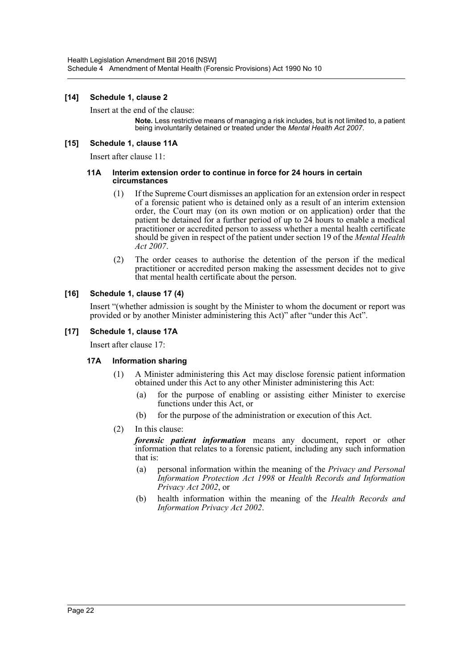# **[14] Schedule 1, clause 2**

Insert at the end of the clause:

**Note.** Less restrictive means of managing a risk includes, but is not limited to, a patient being involuntarily detained or treated under the *Mental Health Act 2007*.

# **[15] Schedule 1, clause 11A**

Insert after clause 11:

#### **11A Interim extension order to continue in force for 24 hours in certain circumstances**

- (1) If the Supreme Court dismisses an application for an extension order in respect of a forensic patient who is detained only as a result of an interim extension order, the Court may (on its own motion or on application) order that the patient be detained for a further period of up to 24 hours to enable a medical practitioner or accredited person to assess whether a mental health certificate should be given in respect of the patient under section 19 of the *Mental Health Act 2007*.
- (2) The order ceases to authorise the detention of the person if the medical practitioner or accredited person making the assessment decides not to give that mental health certificate about the person.

# **[16] Schedule 1, clause 17 (4)**

Insert "(whether admission is sought by the Minister to whom the document or report was provided or by another Minister administering this Act)" after "under this Act".

# **[17] Schedule 1, clause 17A**

Insert after clause 17:

## **17A Information sharing**

- (1) A Minister administering this Act may disclose forensic patient information obtained under this Act to any other Minister administering this Act:
	- (a) for the purpose of enabling or assisting either Minister to exercise functions under this Act, or
	- (b) for the purpose of the administration or execution of this Act.
- (2) In this clause:

*forensic patient information* means any document, report or other information that relates to a forensic patient, including any such information that is:

- (a) personal information within the meaning of the *Privacy and Personal Information Protection Act 1998* or *Health Records and Information Privacy Act 2002*, or
- (b) health information within the meaning of the *Health Records and Information Privacy Act 2002*.